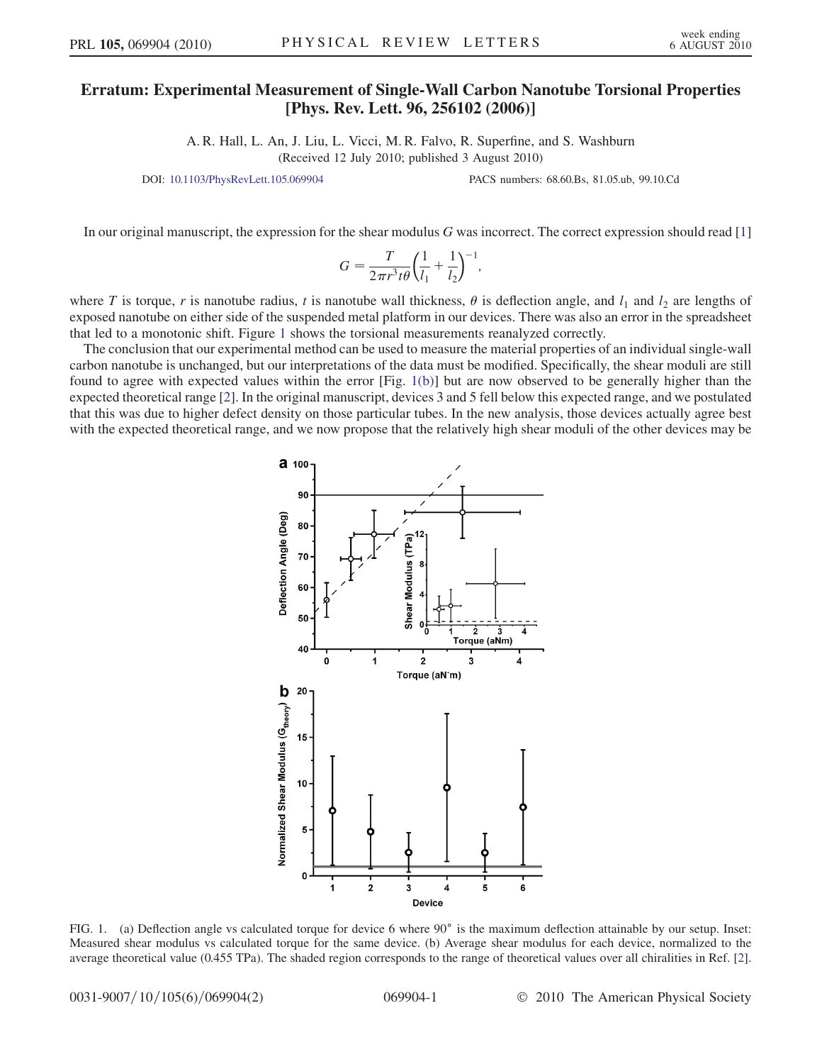## Erratum: Experimental Measurement of Single-Wall Carbon Nanotube Torsional Properties<br>[Phys. Rev. Lett. 96, 256102 (2006)]  $\mathbb{P}$  -  $\mathbb{P}$  and  $\mathbb{P}$  are  $\mathbb{P}$  and  $\mathbb{P}$  (2006).

A. R. Hall, L. An, J. Liu, L. Vicci, M. R. Falvo, R. Superfine, and S. Washburn (Received 12 July 2010; published 3 August 2010)

DOI: [10.1103/PhysRevLett.105.069904](http://dx.doi.org/10.1103/PhysRevLett.105.069904) PACS numbers: 68.60.Bs, 81.05.ub, 99.10.Cd

In our original manuscript, the expression for the shear modulus  $G$  was incorrect. The correct expression should read  $[1]$ 

$$
G = \frac{T}{2\pi r^3 t \theta} \left(\frac{1}{l_1} + \frac{1}{l_2}\right)^{-1},
$$

where T is torque, r is nanotube radius, t is nanotube wall thickness,  $\theta$  is deflection angle, and  $l_1$  and  $l_2$  are lengths of exposed nanotube on either side of the suspended metal platform in our devices. There was also an error in the spreadsheet that led to a monotonic shift. Figure [1](#page-0-0) shows the torsional measurements reanalyzed correctly.

<span id="page-0-0"></span>The conclusion that our experimental method can be used to measure the material properties of an individual single-wall carbon nanotube is unchanged, but our interpretations of the data must be modified. Specifically, the shear moduli are still found to agree with expected values within the error [Fig. [1\(b\)\]](#page-0-1) but are now observed to be generally higher than the expected theoretical range [[2\]](#page-1-1). In the original manuscript, devices 3 and 5 fell below this expected range, and we postulated that this was due to higher defect density on those particular tubes. In the new analysis, those devices actually agree best with the expected theoretical range, and we now propose that the relatively high shear moduli of the other devices may be



<span id="page-0-1"></span>FIG. 1. (a) Deflection angle vs calculated torque for device 6 where 90° is the maximum deflection attainable by our setup. Inset: Measured shear modulus vs calculated torque for the same device. (b) Average shear modulus for each device, normalized to the average theoretical value (0.455 TPa). The shaded region corresponds to the range of theoretical values over all chiralities in Ref. [[2\]](#page-1-1).